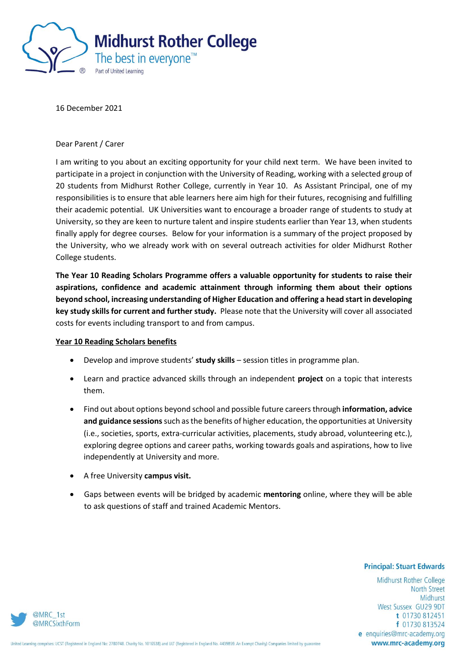

16 December 2021

## Dear Parent / Carer

I am writing to you about an exciting opportunity for your child next term. We have been invited to participate in a project in conjunction with the University of Reading, working with a selected group of 20 students from Midhurst Rother College, currently in Year 10. As Assistant Principal, one of my responsibilities is to ensure that able learners here aim high for their futures, recognising and fulfilling their academic potential. UK Universities want to encourage a broader range of students to study at University, so they are keen to nurture talent and inspire students earlier than Year 13, when students finally apply for degree courses. Below for your information is a summary of the project proposed by the University, who we already work with on several outreach activities for older Midhurst Rother College students.

**The Year 10 Reading Scholars Programme offers a valuable opportunity for students to raise their aspirations, confidence and academic attainment through informing them about their options beyond school, increasing understanding of Higher Education and offering a head start in developing key study skills for current and further study.** Please note that the University will cover all associated costs for events including transport to and from campus.

## **Year 10 Reading Scholars benefits**

- Develop and improve students' **study skills** session titles in programme plan.
- Learn and practice advanced skills through an independent **project** on a topic that interests them.
- Find out about options beyond school and possible future careers through **information, advice and guidance sessions**such as the benefits of higher education, the opportunities at University (i.e., societies, sports, extra-curricular activities, placements, study abroad, volunteering etc.), exploring degree options and career paths, working towards goals and aspirations, how to live independently at University and more.
- A free University **campus visit.**
- Gaps between events will be bridged by academic **mentoring** online, where they will be able to ask questions of staff and trained Academic Mentors.

## **Principal: Stuart Edwards**

Midhurst Rother College **North Street** Midhurst West Sussex GU29 9DT t 01730 812451 f 01730 813524 e enquiries@mrc-academy.org www.mrc-academy.org